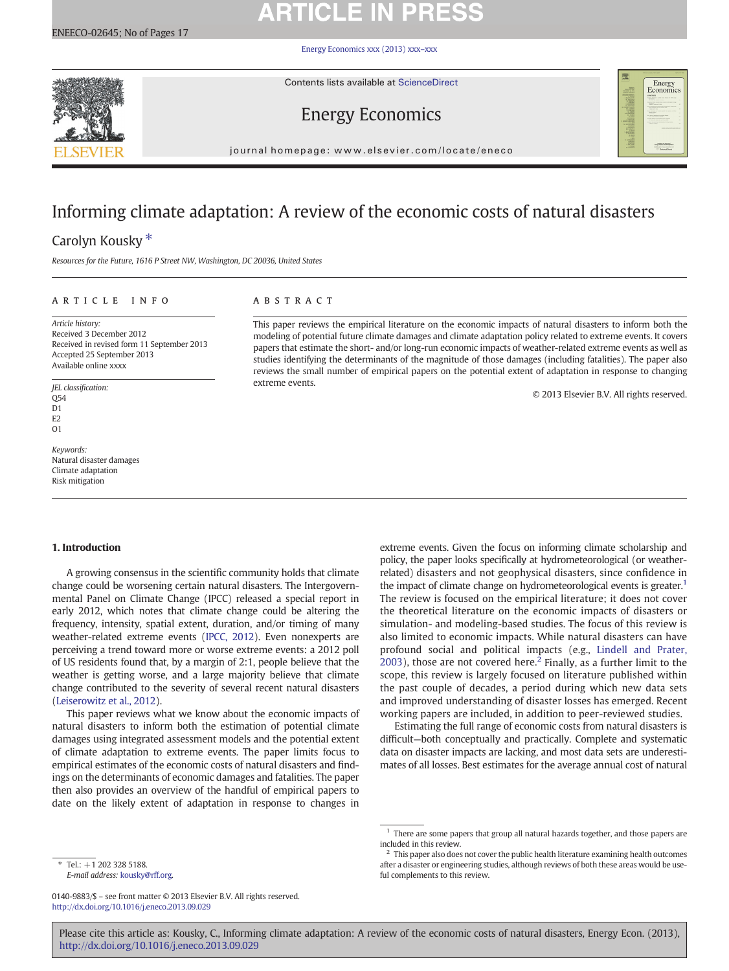# **ARTICLE IN PRESS**

[Energy Economics xxx \(2013\) xxx](http://dx.doi.org/10.1016/j.eneco.2013.09.029)–xxx



Contents lists available at ScienceDirect

# Energy Economics



journal homepage: www.elsevier.com/locate/eneco

## Informing climate adaptation: A review of the economic costs of natural disasters

## Carolyn Kousky<sup>\*</sup>

Resources for the Future, 1616 P Street NW, Washington, DC 20036, United States

## article info abstract

Article history: Received 3 December 2012 Received in revised form 11 September 2013 Accepted 25 September 2013 Available online xxxx

JEL classification: Q54 D<sub>1</sub> E<sub>2</sub>  $\Omega$ 1

Keywords: Natural disaster damages Climate adaptation Risk mitigation

This paper reviews the empirical literature on the economic impacts of natural disasters to inform both the modeling of potential future climate damages and climate adaptation policy related to extreme events. It covers papers that estimate the short- and/or long-run economic impacts of weather-related extreme events as well as studies identifying the determinants of the magnitude of those damages (including fatalities). The paper also reviews the small number of empirical papers on the potential extent of adaptation in response to changing extreme events.

© 2013 Elsevier B.V. All rights reserved.

## 1. Introduction

A growing consensus in the scientific community holds that climate change could be worsening certain natural disasters. The Intergovernmental Panel on Climate Change (IPCC) released a special report in early 2012, which notes that climate change could be altering the frequency, intensity, spatial extent, duration, and/or timing of many weather-related extreme events [\(IPCC, 2012\)](#page--1-0). Even nonexperts are perceiving a trend toward more or worse extreme events: a 2012 poll of US residents found that, by a margin of 2:1, people believe that the weather is getting worse, and a large majority believe that climate change contributed to the severity of several recent natural disasters [\(Leiserowitz et al., 2012](#page--1-0)).

This paper reviews what we know about the economic impacts of natural disasters to inform both the estimation of potential climate damages using integrated assessment models and the potential extent of climate adaptation to extreme events. The paper limits focus to empirical estimates of the economic costs of natural disasters and findings on the determinants of economic damages and fatalities. The paper then also provides an overview of the handful of empirical papers to date on the likely extent of adaptation in response to changes in

extreme events. Given the focus on informing climate scholarship and policy, the paper looks specifically at hydrometeorological (or weatherrelated) disasters and not geophysical disasters, since confidence in the impact of climate change on hydrometeorological events is greater.<sup>1</sup> The review is focused on the empirical literature; it does not cover the theoretical literature on the economic impacts of disasters or simulation- and modeling-based studies. The focus of this review is also limited to economic impacts. While natural disasters can have profound social and political impacts (e.g., [Lindell and Prater,](#page--1-0) [2003](#page--1-0)), those are not covered here.<sup>2</sup> Finally, as a further limit to the scope, this review is largely focused on literature published within the past couple of decades, a period during which new data sets and improved understanding of disaster losses has emerged. Recent working papers are included, in addition to peer-reviewed studies.

Estimating the full range of economic costs from natural disasters is difficult—both conceptually and practically. Complete and systematic data on disaster impacts are lacking, and most data sets are underestimates of all losses. Best estimates for the average annual cost of natural

⁎ Tel.: +1 202 328 5188. E-mail address: [kousky@rff.org](mailto:kousky@rff.org).

Please cite this article as: Kousky, C., Informing climate adaptation: A review of the economic costs of natural disasters, Energy Econ. (2013), <http://dx.doi.org/10.1016/j.eneco.2013.09.029>

 $^{\rm 1}$  There are some papers that group all natural hazards together, and those papers are included in this review.

 $2^2$  This paper also does not cover the public health literature examining health outcomes after a disaster or engineering studies, although reviews of both these areas would be useful complements to this review.

<sup>0140-9883/\$</sup> – see front matter © 2013 Elsevier B.V. All rights reserved. <http://dx.doi.org/10.1016/j.eneco.2013.09.029>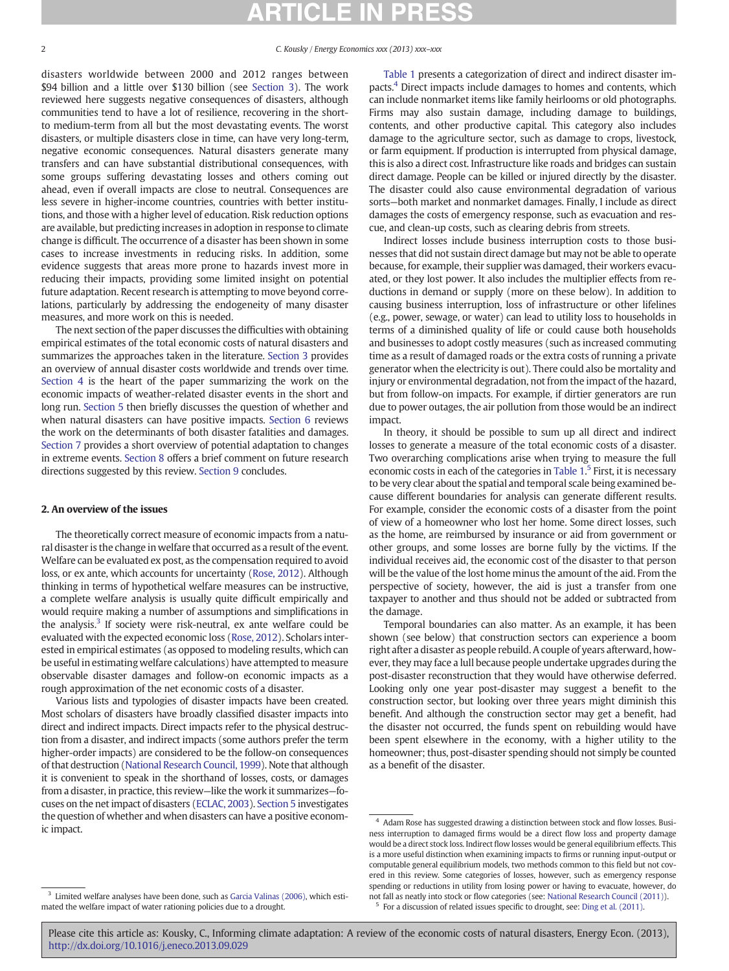2 C. Kousky / Energy Economics xxx (2013) xxx–xxx

disasters worldwide between 2000 and 2012 ranges between \$94 billion and a little over \$130 billion (see [Section 3](#page--1-0)). The work reviewed here suggests negative consequences of disasters, although communities tend to have a lot of resilience, recovering in the shortto medium-term from all but the most devastating events. The worst disasters, or multiple disasters close in time, can have very long-term, negative economic consequences. Natural disasters generate many transfers and can have substantial distributional consequences, with some groups suffering devastating losses and others coming out ahead, even if overall impacts are close to neutral. Consequences are less severe in higher-income countries, countries with better institutions, and those with a higher level of education. Risk reduction options are available, but predicting increases in adoption in response to climate change is difficult. The occurrence of a disaster has been shown in some cases to increase investments in reducing risks. In addition, some evidence suggests that areas more prone to hazards invest more in reducing their impacts, providing some limited insight on potential future adaptation. Recent research is attempting to move beyond correlations, particularly by addressing the endogeneity of many disaster measures, and more work on this is needed.

The next section of the paper discusses the difficulties with obtaining empirical estimates of the total economic costs of natural disasters and summarizes the approaches taken in the literature. [Section 3](#page--1-0) provides an overview of annual disaster costs worldwide and trends over time. [Section 4](#page--1-0) is the heart of the paper summarizing the work on the economic impacts of weather-related disaster events in the short and long run. [Section 5](#page--1-0) then briefly discusses the question of whether and when natural disasters can have positive impacts. [Section 6](#page--1-0) reviews the work on the determinants of both disaster fatalities and damages. [Section 7](#page--1-0) provides a short overview of potential adaptation to changes in extreme events. [Section 8](#page--1-0) offers a brief comment on future research directions suggested by this review. [Section 9](#page--1-0) concludes.

## 2. An overview of the issues

The theoretically correct measure of economic impacts from a natural disaster is the change in welfare that occurred as a result of the event. Welfare can be evaluated ex post, as the compensation required to avoid loss, or ex ante, which accounts for uncertainty [\(Rose, 2012\)](#page--1-0). Although thinking in terms of hypothetical welfare measures can be instructive, a complete welfare analysis is usually quite difficult empirically and would require making a number of assumptions and simplifications in the analysis. $3$  If society were risk-neutral, ex ante welfare could be evaluated with the expected economic loss [\(Rose, 2012\)](#page--1-0). Scholars interested in empirical estimates (as opposed to modeling results, which can be useful in estimating welfare calculations) have attempted to measure observable disaster damages and follow-on economic impacts as a rough approximation of the net economic costs of a disaster.

Various lists and typologies of disaster impacts have been created. Most scholars of disasters have broadly classified disaster impacts into direct and indirect impacts. Direct impacts refer to the physical destruction from a disaster, and indirect impacts (some authors prefer the term higher-order impacts) are considered to be the follow-on consequences of that destruction [\(National Research Council, 1999](#page--1-0)). Note that although it is convenient to speak in the shorthand of losses, costs, or damages from a disaster, in practice, this review—like the work it summarizes—focuses on the net impact of disasters [\(ECLAC, 2003\)](#page--1-0). [Section 5](#page--1-0) investigates the question of whether and when disasters can have a positive economic impact.

[Table 1](#page--1-0) presents a categorization of direct and indirect disaster impacts.4 Direct impacts include damages to homes and contents, which can include nonmarket items like family heirlooms or old photographs. Firms may also sustain damage, including damage to buildings, contents, and other productive capital. This category also includes damage to the agriculture sector, such as damage to crops, livestock, or farm equipment. If production is interrupted from physical damage, this is also a direct cost. Infrastructure like roads and bridges can sustain direct damage. People can be killed or injured directly by the disaster. The disaster could also cause environmental degradation of various sorts—both market and nonmarket damages. Finally, I include as direct damages the costs of emergency response, such as evacuation and rescue, and clean-up costs, such as clearing debris from streets.

Indirect losses include business interruption costs to those businesses that did not sustain direct damage but may not be able to operate because, for example, their supplier was damaged, their workers evacuated, or they lost power. It also includes the multiplier effects from reductions in demand or supply (more on these below). In addition to causing business interruption, loss of infrastructure or other lifelines (e.g., power, sewage, or water) can lead to utility loss to households in terms of a diminished quality of life or could cause both households and businesses to adopt costly measures (such as increased commuting time as a result of damaged roads or the extra costs of running a private generator when the electricity is out). There could also be mortality and injury or environmental degradation, not from the impact of the hazard, but from follow-on impacts. For example, if dirtier generators are run due to power outages, the air pollution from those would be an indirect impact.

In theory, it should be possible to sum up all direct and indirect losses to generate a measure of the total economic costs of a disaster. Two overarching complications arise when trying to measure the full economic costs in each of the categories in [Table 1.](#page--1-0)<sup>5</sup> First, it is necessary to be very clear about the spatial and temporal scale being examined because different boundaries for analysis can generate different results. For example, consider the economic costs of a disaster from the point of view of a homeowner who lost her home. Some direct losses, such as the home, are reimbursed by insurance or aid from government or other groups, and some losses are borne fully by the victims. If the individual receives aid, the economic cost of the disaster to that person will be the value of the lost home minus the amount of the aid. From the perspective of society, however, the aid is just a transfer from one taxpayer to another and thus should not be added or subtracted from the damage.

Temporal boundaries can also matter. As an example, it has been shown (see below) that construction sectors can experience a boom right after a disaster as people rebuild. A couple of years afterward, however, they may face a lull because people undertake upgrades during the post-disaster reconstruction that they would have otherwise deferred. Looking only one year post-disaster may suggest a benefit to the construction sector, but looking over three years might diminish this benefit. And although the construction sector may get a benefit, had the disaster not occurred, the funds spent on rebuilding would have been spent elsewhere in the economy, with a higher utility to the homeowner; thus, post-disaster spending should not simply be counted as a benefit of the disaster.

<sup>5</sup> For a discussion of related issues specific to drought, see: [Ding et al. \(2011\).](#page--1-0)

<sup>4</sup> Adam Rose has suggested drawing a distinction between stock and flow losses. Business interruption to damaged firms would be a direct flow loss and property damage would be a direct stock loss. Indirect flow losses would be general equilibrium effects. This is a more useful distinction when examining impacts to firms or running input-output or computable general equilibrium models, two methods common to this field but not covered in this review. Some categories of losses, however, such as emergency response spending or reductions in utility from losing power or having to evacuate, however, do not fall as neatly into stock or flow categories (see: [National Research Council \(2011\)](#page--1-0)).

<sup>&</sup>lt;sup>3</sup> Limited welfare analyses have been done, such as [Garcia Valinas \(2006\),](#page--1-0) which estimated the welfare impact of water rationing policies due to a drought.